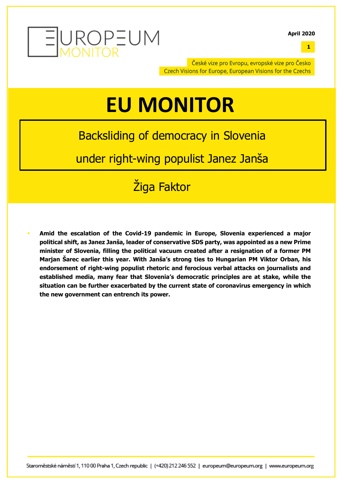

**1**

České vize pro Evropu, evropské vize pro Česko Czech Visions for Europe, European Visions for the Czechs

# **EU MONITOR**

# Backsliding of democracy in Slovenia

under right-wing populist Janez Janša

# Žiga Faktor

§ **Amid the escalation of the Covid-19 pandemic in Europe, Slovenia experienced a major political shift, as Janez Janša, leader of conservative SDS party, was appointed as a new Prime minister of Slovenia, filling the political vacuum created after a resignation of a former PM Marjan Šarec earlier this year. With Janša's strong ties to Hungarian PM Viktor Orban, his endorsement of right-wing populist rhetoric and ferocious verbal attacks on journalists and established media, many fear that Slovenia's democratic principles are at stake, while the situation can be further exacerbated by the current state of coronavirus emergency in which the new government can entrench its power.**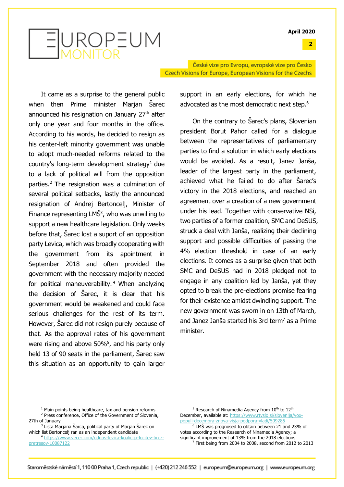**2**



České vize pro Evropu, evropské vize pro Česko Czech Visions for Europe, European Visions for the Czechs

It came as a surprise to the general public when then Prime minister Marjan Šarec announced his resignation on January 27<sup>th</sup> after only one year and four months in the office. According to his words, he decided to resign as his center-left minority government was unable to adopt much-needed reforms related to the country's long-term development strategy<sup>1</sup> due to a lack of political will from the opposition parties.2 The resignation was a culmination of several political setbacks, lastly the announced resignation of Andrej Bertoncelj, Minister of Finance representing  $LM\dot{S}^3$ , who was unwilling to support a new healthcare legislation. Only weeks before that, Šarec lost a suport of an opposition party Levica, which was broadly cooperating with the government from its apointment in September 2018 and often provided the government with the necessary majority needed for political maneuverability. <sup>4</sup> When analyzing the decision of Šarec, it is clear that his government would be weakened and could face serious challenges for the rest of its term. However, Šarec did not resign purely because of that. As the approval rates of his government were rising and above 50%<sup>5</sup>, and his party only held 13 of 90 seats in the parliament, Šarec saw this situation as an opportunity to gain larger

support in an early elections, for which he advocated as the most democratic next step.<sup>6</sup>

On the contrary to Šarec's plans, Slovenian president Borut Pahor called for a dialogue between the representatives of parliamentary parties to find a solution in which early elections would be avoided. As a result, Janez Janša, leader of the largest party in the parliament, achieved what he failed to do after Šarec's victory in the 2018 elections, and reached an agreement over a creation of a new government under his lead. Together with conservative NSi, two parties of a former coalition, SMC and DeSUS, struck a deal with Janša, realizing their declining support and possible difficulties of passing the 4% election threshold in case of an early elections. It comes as a surprise given that both SMC and DeSUS had in 2018 pledged not to engage in any coalition led by Janša, yet they opted to break the pre-elections promise fearing for their existence amidst dwindling support. The new government was sworn in on 13th of March, and Janez Janša started his 3rd term<sup>7</sup> as a Prime minister.

 $1$  Main points being healthcare, tax and pension reforms <sup>2</sup> Press conference, Office of the Government of Slovenia, 27th of January

<sup>3</sup> Lista Marjana Šarca, political party of Marjan Šarec on which list Bertonceli ran as an independent candidate

<sup>4</sup> https://www.vecer.com/odnos-levica-koalicija-locitev-brezpretresov-10087122

 $5$  Research of Ninamedia Agency from  $10^{th}$  to  $12^{th}$ December, available at: https://www.rtvslo.si/slovenija/voxpopuli-decembra-znova-visja-podpora-vladi/509285 <sup>6</sup> LMŠ was prognosed to obtain between 21 and 23% of votes according to the Research of Ninamedia Agency; a significant improvement of 13% from the 2018 elections <sup>7</sup> First being from 2004 to 2008, second from 2012 to 2013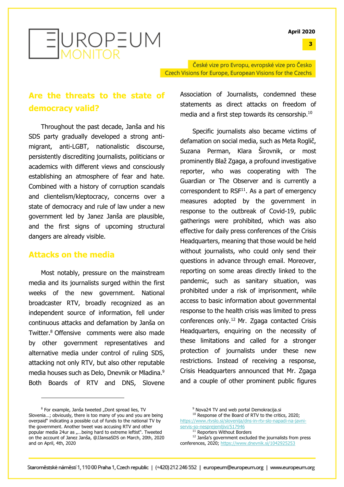

České vize pro Evropu, evropské vize pro Česko Czech Visions for Europe, European Visions for the Czechs

## **Are the threats to the state of democracy valid?**

Throughout the past decade, Janša and his SDS party gradually developed a strong antimigrant, anti-LGBT, nationalistic discourse, persistently discrediting journalists, politicians or academics with different views and consciously establishing an atmosphere of fear and hate. Combined with a history of corruption scandals and clientelism/kleptocracy, concerns over a state of democracy and rule of law under a new government led by Janez Janša are plausible, and the first signs of upcoming structural dangers are already visible.

#### **Attacks on the media**

Most notably, pressure on the mainstream media and its journalists surged within the first weeks of the new government. National broadcaster RTV, broadly recognized as an independent source of information, fell under continuous attacks and defamation by Janša on Twitter. <sup>8</sup> Offensive comments were also made by other government representatives and alternative media under control of ruling SDS, attacking not only RTV, but also other reputable media houses such as Delo, Dnevnik or Mladina. 9 Both Boards of RTV and DNS, Slovene

 $8$  For example, Janša tweeted "Dont spread lies, TV Slovenia…; obviously, there is too many of you and you are being overpaid" indicating a possible cut of funds to the national TV by the government. Another tweet was accusing RTV and other popular media 24ur as "...being hard to extreme leftist". Tweeted on the account of Janez Janša, @JJansaSDS on March, 20th, 2020 and on April, 4th, 2020

<sup>9</sup> Nova24 TV and web portal Demokracija.si

<sup>11</sup> Reporters Without Borders

<sup>12</sup> Janša's government excluded the journalists from press conferences, 2020; https://www.dnevnik.si/1042925253

Association of Journalists, condemned these statements as direct attacks on freedom of media and a first step towards its censorship.<sup>10</sup>

Specific journalists also became victims of defamation on social media, such as Meta Roglič, Suzana Perman, Klara Širovnik, or most prominently Blaž Zgaga, a profound investigative reporter, who was cooperating with The Guardian or The Observer and is currently a correspondent to  $RSF<sup>11</sup>$ . As a part of emergency measures adopted by the government in response to the outbreak of Covid-19, public gatherings were prohibited, which was also effective for daily press conferences of the Crisis Headquarters, meaning that those would be held without journalists, who could only send their questions in advance through email. Moreover, reporting on some areas directly linked to the pandemic, such as sanitary situation, was prohibited under a risk of imprisonment, while access to basic information about governmental response to the health crisis was limited to press conferences only.12 Mr. Zgaga contacted Crisis Headquarters, enquiring on the necessity of these limitations and called for a stronger protection of journalists under these new restrictions. Instead of receiving a response, Crisis Headquarters announced that Mr. Zgaga and a couple of other prominent public figures

**3**

<sup>&</sup>lt;sup>10</sup> Response of the Board of RTV to the critics, 2020; https://www.rtvslo.si/slovenija/dns-in-rtv-slo-napadi-na-javniservis-so-nesprejemljivi/517946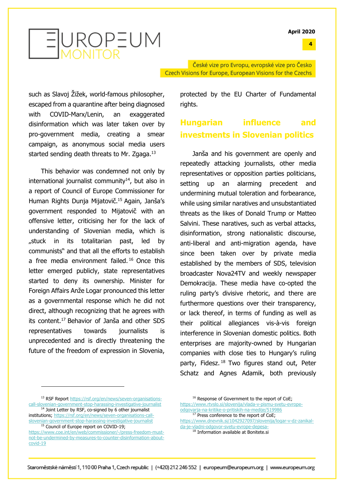**4**



České vize pro Evropu, evropské vize pro Česko Czech Visions for Europe, European Visions for the Czechs

such as Slavoj Žižek, world-famous philosopher, escaped from a quarantine after being diagnosed with COVID-Marx/Lenin, an exaggerated disinformation which was later taken over by pro-government media, creating a smear campaign, as anonymous social media users started sending death threats to Mr. Zgaga.<sup>13</sup>

This behavior was condemned not only by international journalist community $14$ , but also in a report of Council of Europe Commissioner for Human Rights Dunja Mijatovič.15 Again, Janša's government responded to Mijatovič with an offensive letter, criticising her for the lack of understanding of Slovenian media, which is "stuck in its totalitarian past, led by communists" and that all the efforts to establish a free media environment failed.<sup>16</sup> Once this letter emerged publicly, state representatives started to deny its ownership. Minister for Foreign Affairs Anže Logar pronounced this letter as a governmental response which he did not direct, although recognizing that he agrees with its content.17 Behavior of Janša and other SDS representatives towards journalists is unprecedented and is directly threatening the future of the freedom of expression in Slovenia,

protected by the EU Charter of Fundamental rights.

### **Hungarian influence and investments in Slovenian politics**

Janša and his government are openly and repeatedly attacking journalists, other media representatives or opposition parties politicians, setting up an alarming precedent and undermining mutual toleration and forbearance, while using similar naratives and unsubstantiated threats as the likes of Donald Trump or Matteo Salvini. These naratives, such as verbal attacks, disinformation, strong nationalistic discourse, anti-liberal and anti-migration agenda, have since been taken over by private media established by the members of SDS, television broadcaster Nova24TV and weekly newspaper Demokracija. These media have co-opted the ruling party's divisive rhetoric, and there are furthermore questions over their transparency, or lack thereof, in terms of funding as well as their political allegiances vis-à-vis foreign interference in Slovenian domestic politics. Both enterprises are majority-owned by Hungarian companies with close ties to Hungary's ruling party, Fidesz.<sup>18</sup> Two figures stand out, Peter Schatz and Agnes Adamik, both previously

```
https://www.dnevnik.si/1042927097/slovenija/logar-v-dz-zanikal-
da-je-vladni-odgovor-svetu-evrope-depesa-
```

```
<sup>18</sup> Information available at Bonitete.si
```
<sup>13</sup> RSF Report https://rsf.org/en/news/seven-organisationscall-slovenian-government-stop-harassing-investigative-journalist

<sup>&</sup>lt;sup>14</sup> Joint Letter by RSF, co-signed by 6 other journalist institutions; https://rsf.org/en/news/seven-organisations-callslovenian-government-stop-harassing-investigative-journalist <sup>15</sup> Council of Europe report on COVID-19;

https://www.coe.int/en/web/commissioner/-/press-freedom-mustnot-be-undermined-by-measures-to-counter-disinformation-aboutcovid-19

<sup>&</sup>lt;sup>16</sup> Response of Government to the report of CoE; https://www.rtvslo.si/slovenija/vlada-v-pismu-svetu-evrope-

odgovarja-na-kritike-o-pritiskih-na-medije/519986 <sup>17</sup> Press conference to the report of CoE;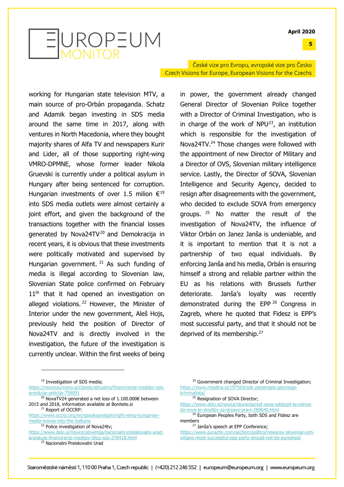**5**



České vize pro Evropu, evropské vize pro Česko Czech Visions for Europe, European Visions for the Czechs

working for Hungarian state television MTV, a main source of pro-Orbán propaganda. Schatz and Adamik began investing in SDS media around the same time in 2017, along with ventures in North Macedonia, where they bought majority shares of Alfa TV and newspapers Kurir and Lider, all of those supporting right-wing VMRO-DPMNE, whose former leader Nikola Gruevski is currently under a political asylum in Hungary after being sentenced for corruption. Hungarian investments of over 1.5 milion  $\epsilon^{19}$ into SDS media outlets were almost certainly a joint effort, and given the background of the transactions together with the financial losses generated by Nova24TV<sup>20</sup> and Demokracija in recent years, it is obvious that these investments were politically motivated and supervised by Hungarian government.  $21$  As such funding of media is illegal according to Slovenian law, Slovenian State police confirmed on February  $11<sup>th</sup>$  that it had opened an investigation on alleged violations.<sup>22</sup> However, the Minister of Interior under the new government, Aleš Hojs, previously held the position of Director of Nova24TV and is directly involved in the investigation, the future of the investigation is currently unclear. Within the first weeks of being

in power, the government already changed General Director of Slovenian Police together with a Director of Criminal Investigation, who is in charge of the work of  $NPU<sup>23</sup>$ , an institution which is responsible for the investigation of Nova24TV.24 Those changes were followed with the appointment of new Director of Military and a Director of OVS, Slovenian military intelligence service. Lastly, the Director of SOVA, Slovenian Intelligence and Security Agency, decided to resign after disagreements with the government, who decided to exclude SOVA from emergency groups. <sup>25</sup> No matter the result of the investigation of Nova24TV, the influence of Viktor Orbán on Janez Janša is undeniable, and it is important to mention that it is not a partnership of two equal individuals. By enforcing Janša and his media, Orbán is ensuring himself a strong and reliable partner within the EU as his relations with Brussels further deteriorate. Janša's loyalty was recently demonstrated during the EPP <sup>26</sup> Congress in Zagreb, where he quoted that Fidesz is EPP's most successful party, and that it should not be deprived of its membership.<sup>27</sup>

<sup>27</sup> Janša's speech at EPP Conference;

<sup>&</sup>lt;sup>19</sup> Investigation of SDS media:

https://necenzurirano.si/clanek/aktualno/financiranje-medijev-sdspreiskuje-policija-758091

<sup>20</sup> NovaTV24 generated a net loss of 1.100.000€ between 2015 and 2018, information available at Bonitete.si <sup>21</sup> Report of OCCRP:

https://www.occrp.org/en/spooksandspin/right-wing-hungarianmedia-moves-into-the-balkans

<sup>&</sup>lt;sup>22</sup> Police investigation of Nova24tv;

https://www.delo.si/novice/slovenija/nacionalni-preiskovalni-uradpreiskuje-financiranje-medijev-blizu-sds-278418.html

<sup>23</sup> Nacionalni Preiskovalni Urad

<sup>&</sup>lt;sup>24</sup> Government changed Director of Criminal Investigation: https://www.mladina.si/197569/sds-zamenjala-glavnegakriminalista/

<sup>&</sup>lt;sup>25</sup> Resignation of SOVA Director;

https://www.delo.si/novice/slovenija/sef-sove-odstopil-ta-odnosdo-sove-je-skodljiv-za-drzavo-pravi-289640.html

<sup>&</sup>lt;sup>26</sup> European Peoples Party, both SDS and Fidesz are members

https://www.euractiv.com/section/politics/news/ex-slovenian-pmorbans-most-successful-epp-party-should-not-be-punished/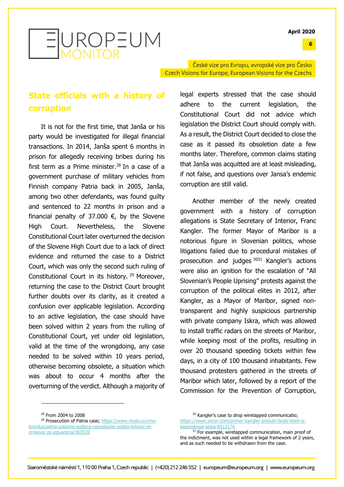**6**



České vize pro Evropu, evropské vize pro Česko Czech Visions for Europe, European Visions for the Czechs

### **State officials with a history of corruption**

It is not for the first time, that Janša or his party would be investigated for illegal financial transactions. In 2014, Janša spent 6 months in prison for allegedly receiving bribes during his first term as a Prime minister. <sup>28</sup> In a case of a government purchase of military vehicles from Finnish company Patria back in 2005, Janša, among two other defendants, was found guilty and sentenced to 22 months in prison and a financial penalty of 37.000  $\epsilon$ , by the Slovene High Court. Nevertheless, the Slovene Constitutional Court later overturned the decision of the Slovene High Court due to a lack of direct evidence and returned the case to a District Court, which was only the second such ruling of Constitutional Court in its history. <sup>29</sup> Moreover, returning the case to the District Court brought further doubts over its clarity, as it created a confusion over applicable legislation. According to an active legislation, the case should have been solved within 2 years from the rulling of Constitutional Court, yet under old legislation, valid at the time of the wrongdoing, any case needed to be solved within 10 years period, otherwise becoming obsolete, a situation which was about to occur 4 months after the overturning of the verdict. Although a majority of

legal experts stressed that the case should adhere to the current legislation, the Constitutional Court did not advice which legislation the District Court should comply with. As a result, the District Court decided to close the case as it passed its obsoletion date a few months later. Therefore, common claims stating that Janša was acquitted are at least misleading, if not false, and questions over Jansa's endemic corruption are still valid.

Another member of the newly created government with a history of corruption allegations is State Secretary of Interior, Franc Kangler. The former Mayor of Maribor is a notorious figure in Slovenian politics, whose litigations failed due to procedural mistakes of prosecution and judges <sup>3031</sup> Kangler's actions were also an ignition for the escalation of "All Slovenian's People Uprising" protests against the corruption of the political elites in 2012, after Kangler, as a Mayor of Maribor, signed nontransparent and highly suspicious partnership with private company Iskra, which was allowed to install traffic radars on the streets of Maribor, while keeping most of the profits, resulting in over 20 thousand speeding tickets within few days, in a city of 100 thousand inhabitants. Few thousand protesters gathered in the streets of Maribor which later, followed by a report of the Commission for the Prevention of Corruption,

<sup>29</sup> Prosecution of Patria case; https://www.rtvslo.si/crnakronika/patria-ustavno-sodisce-razveljavilo-sodbo-krkovic-incrnkovic-ze-izpuscena/363520

<sup>28</sup> From 2004 to 2008

<sup>&</sup>lt;sup>30</sup> Kangler's case to drop wiretapped communicatio; https://www.vecer.com/primer-kangler-prisluhi-bodo-leteli-izkazenskega-spisa-6512176

 $31$  For example, wiretapped communication, main proof of the indictment, was not used within a legal framework of 2 years, and as such needed to be withdrawn from the case.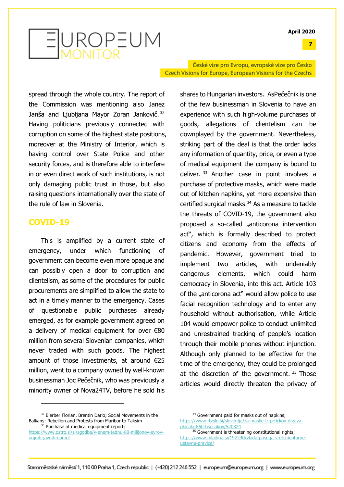**7**



České vize pro Evropu, evropské vize pro Česko Czech Visions for Europe, European Visions for the Czechs

spread through the whole country. The report of the Commission was mentioning also Janez Janša and Ljubljana Mayor Zoran Jankovič. 32 Having politicians previously connected with corruption on some of the highest state positions, moreover at the Ministry of Interior, which is having control over State Police and other security forces, and is therefore able to interfere in or even direct work of such institutions, is not only damaging public trust in those, but also raising questions internationally over the state of the rule of law in Slovenia.

#### **COVID-19**

This is amplified by a current state of emergency, under which functioning of government can become even more opaque and can possibly open a door to corruption and clientelism, as some of the procedures for public procurements are simplified to allow the state to act in a timely manner to the emergency. Cases of questionable public purchases already emerged, as for example government agreed on a delivery of medical equipment for over €80 million from several Slovenian companies, which never traded with such goods. The highest amount of those investments, at around €25 million, went to a company owned by well-known businessman Joc Pečečnik, who was previously a minority owner of Nova24TV, before he sold his shares to Hungarian investors. AsPečečnik is one of the few businessman in Slovenia to have an experience with such high-volume purchases of goods, allegations of clientelism can be downplayed by the government. Nevertheless, striking part of the deal is that the order lacks any information of quantity, price, or even a type of medical equipment the company is bound to deliver. 33 Another case in point involves a purchase of protective masks, which were made out of kitchen napkins, yet more expensive than certified surgical masks. $34$  As a measure to tackle the threats of COVID-19, the government also proposed a so-called "anticorona intervention act", which is formally described to protect citizens and economy from the effects of pandemic. However, government tried to implement two articles, with undeniably dangerous elements, which could harm democracy in Slovenia, into this act. Article 103 of the "anticorona act" would allow police to use facial recognition technology and to enter any household without authorisation, while Article 104 would empower police to conduct unlimited and unrestrained tracking of people's location through their mobile phones without injunction. Although only planned to be effective for the time of the emergency, they could be prolonged at the discretion of the government.  $35$  Those articles would directly threaten the privacy of

<sup>&</sup>lt;sup>32</sup> Bierber Florian, Brentin Dario; Social Movements in the Balkans: Rebellion and Protests from Maribor to Taksim <sup>33</sup> Purchase of medical equipment report;

https://www.ostro.si/si/zgodbe/v-enem-tednu-80-milijonov-evrovnujnih-javnih-narocil

<sup>&</sup>lt;sup>34</sup> Government paid for masks out of napkins; https://www.rtvslo.si/slovenija/za-maske-iz-prtickov-drzavaplacala-860-tisocakov/520824

<sup>&</sup>lt;sup>35</sup> Government is threatening constitutional rights: https://www.mladina.si/197240/vlada-posega-v-elementarneustavne-pravice/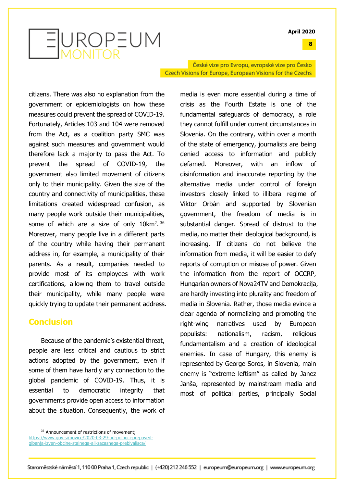**8**



České vize pro Evropu, evropské vize pro Česko Czech Visions for Europe, European Visions for the Czechs

citizens. There was also no explanation from the government or epidemiologists on how these measures could prevent the spread of COVID-19. Fortunately, Articles 103 and 104 were removed from the Act, as a coalition party SMC was against such measures and government would therefore lack a majority to pass the Act. To prevent the spread of COVID-19, the government also limited movement of citizens only to their municipality. Given the size of the country and connectivity of municipalities, these limitations created widespread confusion, as many people work outside their municipalities, some of which are a size of only  $10 \text{km}^2$ .  $36$ Moreover, many people live in a different parts of the country while having their permanent address in, for example, a municipality of their parents. As a result, companies needed to provide most of its employees with work certifications, allowing them to travel outside their municipality, while many people were quickly trying to update their permanent address.

#### **Conclusion**

Because of the pandemic's existential threat, people are less critical and cautious to strict actions adopted by the government, even if some of them have hardly any connection to the global pandemic of COVID-19. Thus, it is essential to democratic integrity that governments provide open access to information about the situation. Consequently, the work of media is even more essential during a time of crisis as the Fourth Estate is one of the fundamental safeguards of democracy, a role they cannot fulfill under current circumstances in Slovenia. On the contrary, within over a month of the state of emergency, journalists are being denied access to information and publicly defamed. Moreover, with an inflow of disinformation and inaccurate reporting by the alternative media under control of foreign investors closely linked to illiberal regime of Viktor Orbán and supported by Slovenian government, the freedom of media is in substantial danger. Spread of distrust to the media, no matter their ideological background, is increasing. If citizens do not believe the information from media, it will be easier to defy reports of corruption or misuse of power. Given the information from the report of OCCRP, Hungarian owners of Nova24TV and Demokracija, are hardly investing into plurality and freedom of media in Slovenia. Rather, those media evince a clear agenda of normalizing and promoting the right-wing narratives used by European populists: nationalism, racism, religious fundamentalism and a creation of ideological enemies. In case of Hungary, this enemy is represented by George Soros, in Slovenia, main enemy is "extreme leftism" as called by Janez Janša, represented by mainstream media and most of political parties, principally Social

https://www.gov.si/novice/2020-03-29-od-polnoci-prepovedgibanja-izven-obcine-stalnega-ali-zacasnega-prebivalisca/

<sup>&</sup>lt;sup>36</sup> Announcement of restrictions of movement: